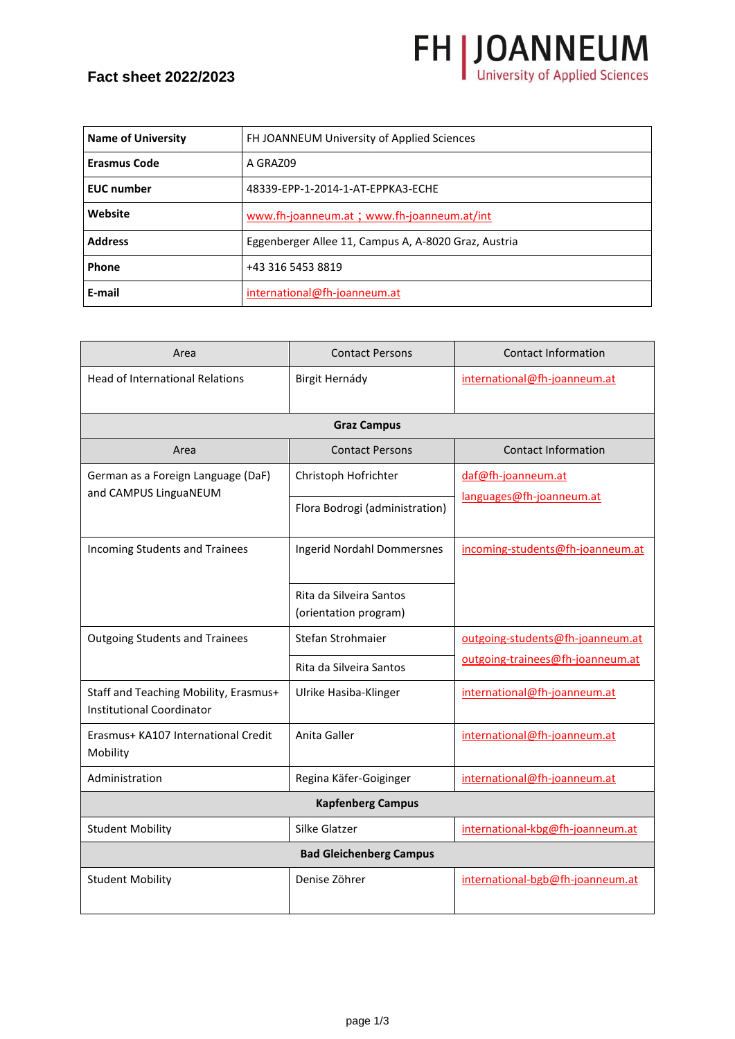## **Fact sheet 2022/2023**

| <b>Name of University</b> | FH JOANNEUM University of Applied Sciences           |
|---------------------------|------------------------------------------------------|
| <b>Erasmus Code</b>       | A GRAZ09                                             |
| <b>EUC</b> number         | 48339-EPP-1-2014-1-AT-EPPKA3-ECHE                    |
| Website                   | www.fh-joanneum.at ; www.fh-joanneum.at/int          |
| <b>Address</b>            | Eggenberger Allee 11, Campus A, A-8020 Graz, Austria |
| Phone                     | +43 316 5453 8819                                    |
| E-mail                    | international@fh-joanneum.at                         |

**FH | JOANNEUM** 

| Area                                                                      | <b>Contact Persons</b>                           | <b>Contact Information</b>       |
|---------------------------------------------------------------------------|--------------------------------------------------|----------------------------------|
| <b>Head of International Relations</b>                                    | Birgit Hernády                                   | international@fh-joanneum.at     |
|                                                                           | <b>Graz Campus</b>                               |                                  |
| Area                                                                      | <b>Contact Persons</b>                           | <b>Contact Information</b>       |
| German as a Foreign Language (DaF)                                        | Christoph Hofrichter                             | daf@fh-joanneum.at               |
| and CAMPUS LinguaNEUM                                                     | Flora Bodrogi (administration)                   | languages@fh-joanneum.at         |
| Incoming Students and Trainees                                            | <b>Ingerid Nordahl Dommersnes</b>                | incoming-students@fh-joanneum.at |
|                                                                           | Rita da Silveira Santos<br>(orientation program) |                                  |
| <b>Outgoing Students and Trainees</b>                                     | Stefan Strohmaier                                | outgoing-students@fh-joanneum.at |
|                                                                           | Rita da Silveira Santos                          | outgoing-trainees@fh-joanneum.at |
| Staff and Teaching Mobility, Erasmus+<br><b>Institutional Coordinator</b> | Ulrike Hasiba-Klinger                            | international@fh-joanneum.at     |
| Erasmus+ KA107 International Credit<br>Mobility                           | Anita Galler                                     | international@fh-joanneum.at     |
| Administration                                                            | Regina Käfer-Goiginger                           | international@fh-joanneum.at     |
| <b>Kapfenberg Campus</b>                                                  |                                                  |                                  |
| <b>Student Mobility</b>                                                   | Silke Glatzer                                    | international-kbg@fh-joanneum.at |
| <b>Bad Gleichenberg Campus</b>                                            |                                                  |                                  |
| <b>Student Mobility</b>                                                   | Denise Zöhrer                                    | international-bgb@fh-joanneum.at |

page 1/3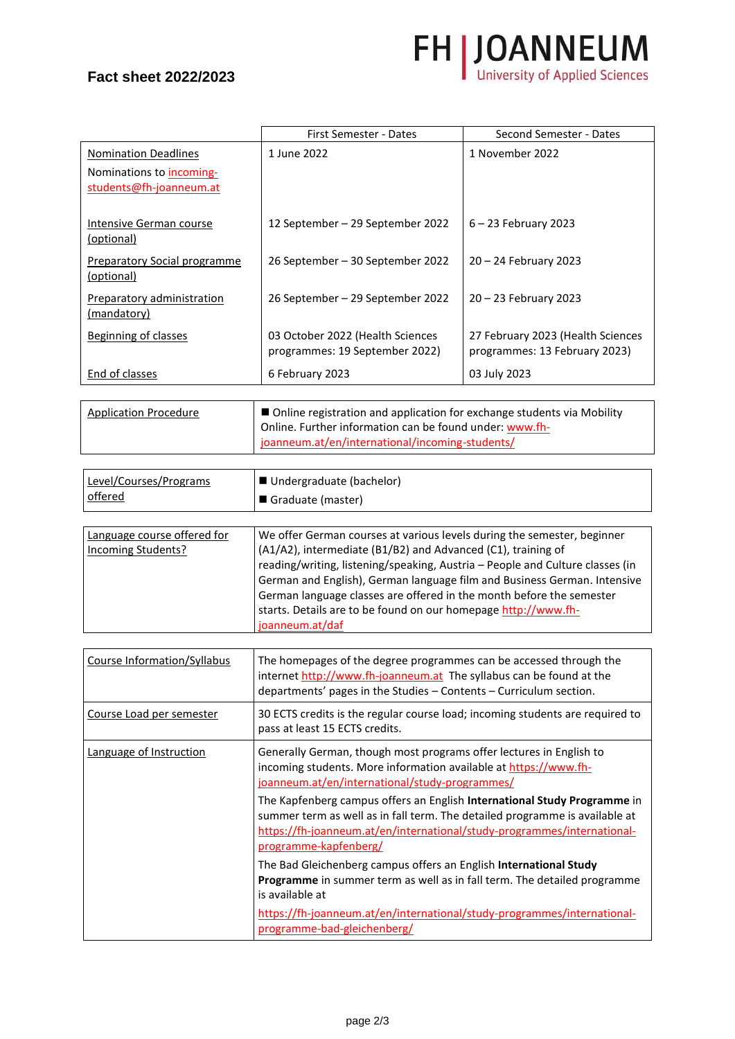## **Fact sheet 2022/2023**



|                                                     | First Semester - Dates                                             | Second Semester - Dates                                            |
|-----------------------------------------------------|--------------------------------------------------------------------|--------------------------------------------------------------------|
| <b>Nomination Deadlines</b>                         | 1 June 2022                                                        | 1 November 2022                                                    |
| Nominations to incoming-<br>students@fh-joanneum.at |                                                                    |                                                                    |
| Intensive German course<br>(optional)               | 12 September – 29 September 2022                                   | $6 - 23$ February 2023                                             |
| Preparatory Social programme<br>(optional)          | 26 September – 30 September 2022                                   | $20 - 24$ February 2023                                            |
| <b>Preparatory administration</b><br>(mandatory)    | 26 September – 29 September 2022                                   | $20 - 23$ February 2023                                            |
| Beginning of classes                                | 03 October 2022 (Health Sciences<br>programmes: 19 September 2022) | 27 February 2023 (Health Sciences<br>programmes: 13 February 2023) |
| End of classes                                      | 6 February 2023                                                    | 03 July 2023                                                       |

| <b>Application Procedure</b> | $\vert$ $\blacksquare$ Online registration and application for exchange students via Mobility |
|------------------------------|-----------------------------------------------------------------------------------------------|
|                              | Online. Further information can be found under: www.fh-                                       |
|                              | joanneum.at/en/international/incoming-students/                                               |

| Level/Courses/Programs<br>offered | ■ Undergraduate (bachelor)<br>Graduate (master)                               |
|-----------------------------------|-------------------------------------------------------------------------------|
|                                   |                                                                               |
| Language course offered for       | We offer German courses at various levels during the semester, beginner       |
| Incoming Students?                | (A1/A2), intermediate (B1/B2) and Advanced (C1), training of                  |
|                                   | reading/writing, listening/speaking, Austria - People and Culture classes (in |
|                                   | German and English), German language film and Business German. Intensive      |

|                             | German and English), German language film and Business German. Intensive<br>German language classes are offered in the month before the semester<br>starts. Details are to be found on our homepage http://www.fh-<br>joanneum.at/daf |
|-----------------------------|---------------------------------------------------------------------------------------------------------------------------------------------------------------------------------------------------------------------------------------|
|                             |                                                                                                                                                                                                                                       |
| Course Information/Syllabus | The homepages of the degree programmes can be accessed through the<br>internet http://www.fh-joanneum.at The syllabus can be found at the<br>departments' pages in the Studies - Contents - Curriculum section.                       |
| Course Load per semester    | 30 ECTS credits is the regular course load; incoming students are required to                                                                                                                                                         |

| Course Load per semester | 30 ECTS credits is the regular course load; incoming students are required to<br>pass at least 15 ECTS credits.                                                                                                                                             |
|--------------------------|-------------------------------------------------------------------------------------------------------------------------------------------------------------------------------------------------------------------------------------------------------------|
| Language of Instruction  | Generally German, though most programs offer lectures in English to<br>incoming students. More information available at https://www.fh-<br>joanneum.at/en/international/study-programmes/                                                                   |
|                          | The Kapfenberg campus offers an English International Study Programme in<br>summer term as well as in fall term. The detailed programme is available at<br>https://fh-joanneum.at/en/international/study-programmes/international-<br>programme-kapfenberg/ |
|                          | The Bad Gleichenberg campus offers an English International Study<br>Programme in summer term as well as in fall term. The detailed programme<br>is available at                                                                                            |
|                          | https://fh-joanneum.at/en/international/study-programmes/international-<br>programme-bad-gleichenberg/                                                                                                                                                      |